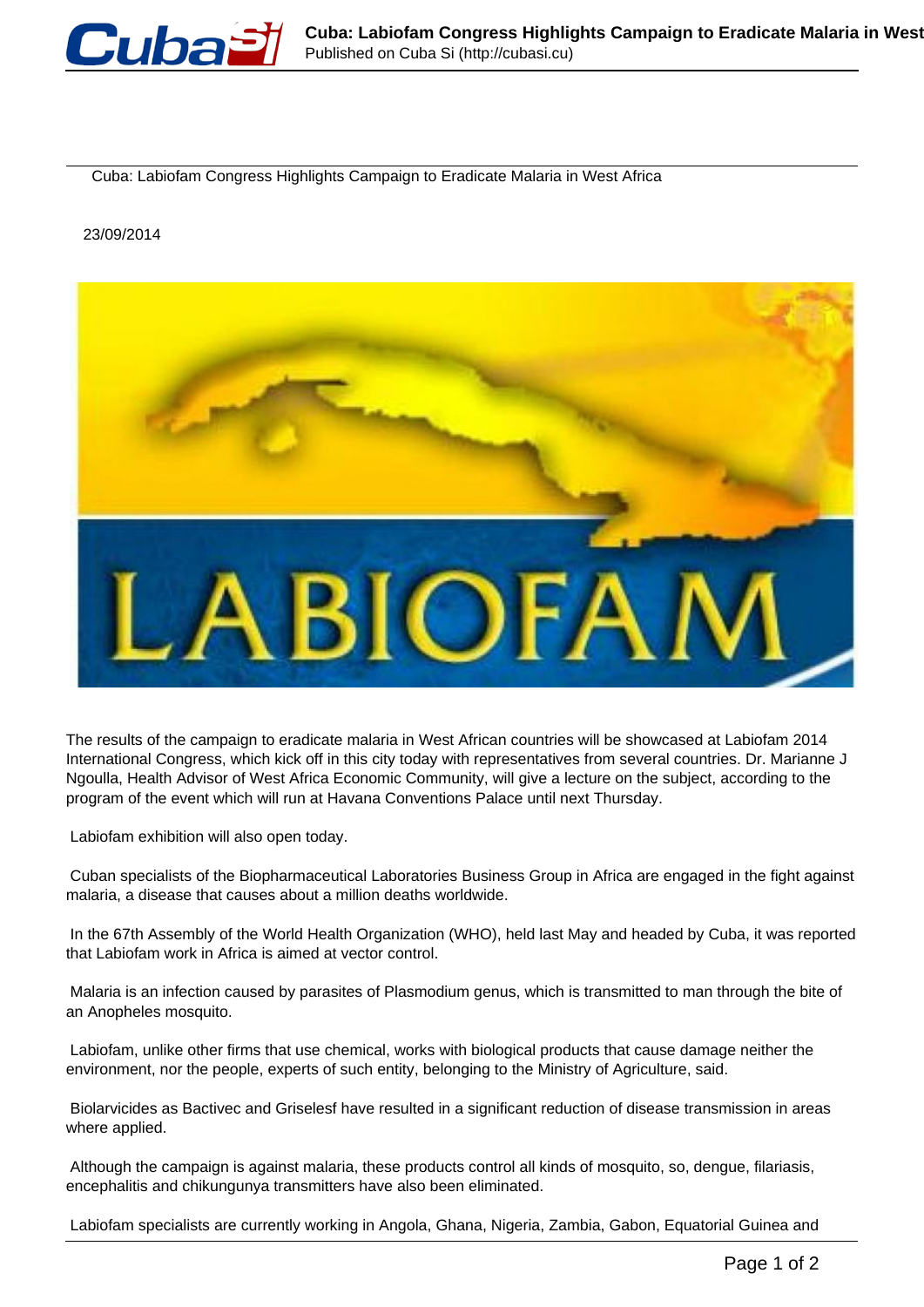

Cuba: Labiofam Congress Highlights Campaign to Eradicate Malaria in West Africa

23/09/2014



The results of the campaign to eradicate malaria in West African countries will be showcased at Labiofam 2014 International Congress, which kick off in this city today with representatives from several countries. Dr. Marianne J Ngoulla, Health Advisor of West Africa Economic Community, will give a lecture on the subject, according to the program of the event which will run at Havana Conventions Palace until next Thursday.

Labiofam exhibition will also open today.

 Cuban specialists of the Biopharmaceutical Laboratories Business Group in Africa are engaged in the fight against malaria, a disease that causes about a million deaths worldwide.

 In the 67th Assembly of the World Health Organization (WHO), held last May and headed by Cuba, it was reported that Labiofam work in Africa is aimed at vector control.

 Malaria is an infection caused by parasites of Plasmodium genus, which is transmitted to man through the bite of an Anopheles mosquito.

 Labiofam, unlike other firms that use chemical, works with biological products that cause damage neither the environment, nor the people, experts of such entity, belonging to the Ministry of Agriculture, said.

 Biolarvicides as Bactivec and Griselesf have resulted in a significant reduction of disease transmission in areas where applied.

 Although the campaign is against malaria, these products control all kinds of mosquito, so, dengue, filariasis, encephalitis and chikungunya transmitters have also been eliminated.

Labiofam specialists are currently working in Angola, Ghana, Nigeria, Zambia, Gabon, Equatorial Guinea and